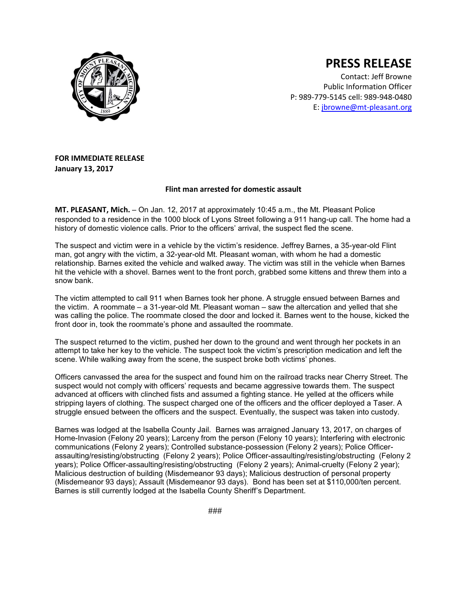

## **PRESS RELEASE**

Contact: Jeff Browne Public Information Officer P: 989-779-5145 cell: 989-948-0480 E: [jbrowne@mt-pleasant.org](mailto:jbrowne@mt-pleasant.org)

## **FOR IMMEDIATE RELEASE January 13, 2017**

## **Flint man arrested for domestic assault**

**MT. PLEASANT, Mich.** – On Jan. 12, 2017 at approximately 10:45 a.m., the Mt. Pleasant Police responded to a residence in the 1000 block of Lyons Street following a 911 hang-up call. The home had a history of domestic violence calls. Prior to the officers' arrival, the suspect fled the scene.

The suspect and victim were in a vehicle by the victim's residence. Jeffrey Barnes, a 35-year-old Flint man, got angry with the victim, a 32-year-old Mt. Pleasant woman, with whom he had a domestic relationship. Barnes exited the vehicle and walked away. The victim was still in the vehicle when Barnes hit the vehicle with a shovel. Barnes went to the front porch, grabbed some kittens and threw them into a snow bank.

The victim attempted to call 911 when Barnes took her phone. A struggle ensued between Barnes and the victim. A roommate – a 31-year-old Mt. Pleasant woman – saw the altercation and yelled that she was calling the police. The roommate closed the door and locked it. Barnes went to the house, kicked the front door in, took the roommate's phone and assaulted the roommate.

The suspect returned to the victim, pushed her down to the ground and went through her pockets in an attempt to take her key to the vehicle. The suspect took the victim's prescription medication and left the scene. While walking away from the scene, the suspect broke both victims' phones.

Officers canvassed the area for the suspect and found him on the railroad tracks near Cherry Street. The suspect would not comply with officers' requests and became aggressive towards them. The suspect advanced at officers with clinched fists and assumed a fighting stance. He yelled at the officers while stripping layers of clothing. The suspect charged one of the officers and the officer deployed a Taser. A struggle ensued between the officers and the suspect. Eventually, the suspect was taken into custody.

Barnes was lodged at the Isabella County Jail. Barnes was arraigned January 13, 2017, on charges of Home-Invasion (Felony 20 years); Larceny from the person (Felony 10 years); Interfering with electronic communications (Felony 2 years); Controlled substance-possession (Felony 2 years); Police Officerassaulting/resisting/obstructing (Felony 2 years); Police Officer-assaulting/resisting/obstructing (Felony 2 years); Police Officer-assaulting/resisting/obstructing (Felony 2 years); Animal-cruelty (Felony 2 year); Malicious destruction of building (Misdemeanor 93 days); Malicious destruction of personal property (Misdemeanor 93 days); Assault (Misdemeanor 93 days). Bond has been set at \$110,000/ten percent. Barnes is still currently lodged at the Isabella County Sheriff's Department.